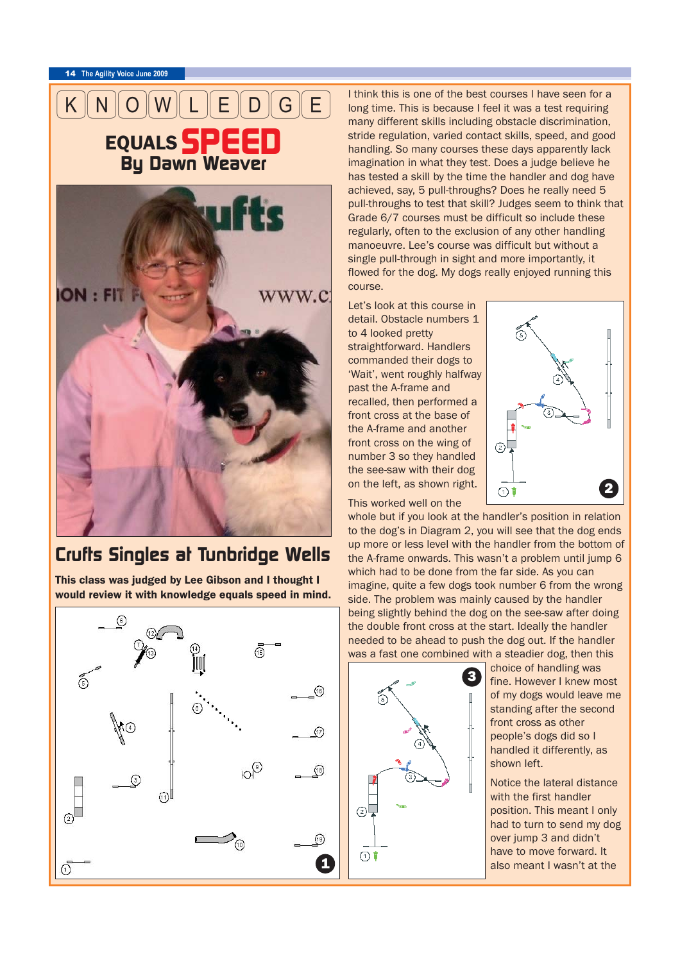<sup>14</sup> **The Agility Voice June 2009**



## *Crufts Singles at Tunbridge Wells*

This class was judged by Lee Gibson and I thought I would review it with knowledge equals speed in mind.



I think this is one of the best courses I have seen for a long time. This is because I feel it was a test requiring many different skills including obstacle discrimination, stride regulation, varied contact skills, speed, and good handling. So many courses these days apparently lack imagination in what they test. Does a judge believe he has tested a skill by the time the handler and dog have achieved, say, 5 pull-throughs? Does he really need 5 pull-throughs to test that skill? Judges seem to think that Grade 6/7 courses must be difficult so include these regularly, often to the exclusion of any other handling manoeuvre. Lee's course was difficult but without a single pull-through in sight and more importantly, it flowed for the dog. My dogs really enjoyed running this course.

Let's look at this course in detail. Obstacle numbers 1 to 4 looked pretty straightforward. Handlers commanded their dogs to 'Wait', went roughly halfway past the A-frame and recalled, then performed a front cross at the base of the A-frame and another front cross on the wing of number 3 so they handled the see-saw with their dog on the left, as shown right.

This worked well on the



whole but if you look at the handler's position in relation to the dog's in Diagram 2, you will see that the dog ends up more or less level with the handler from the bottom of the A-frame onwards. This wasn't a problem until jump 6 which had to be done from the far side. As you can imagine, quite a few dogs took number 6 from the wrong side. The problem was mainly caused by the handler being slightly behind the dog on the see-saw after doing the double front cross at the start. Ideally the handler needed to be ahead to push the dog out. If the handler was a fast one combined with a steadier dog, then this



choice of handling was fine. However I knew most of my dogs would leave me standing after the second front cross as other people's dogs did so I handled it differently, as shown left.

Notice the lateral distance with the first handler position. This meant I only had to turn to send my dog over jump 3 and didn't have to move forward. It also meant I wasn't at the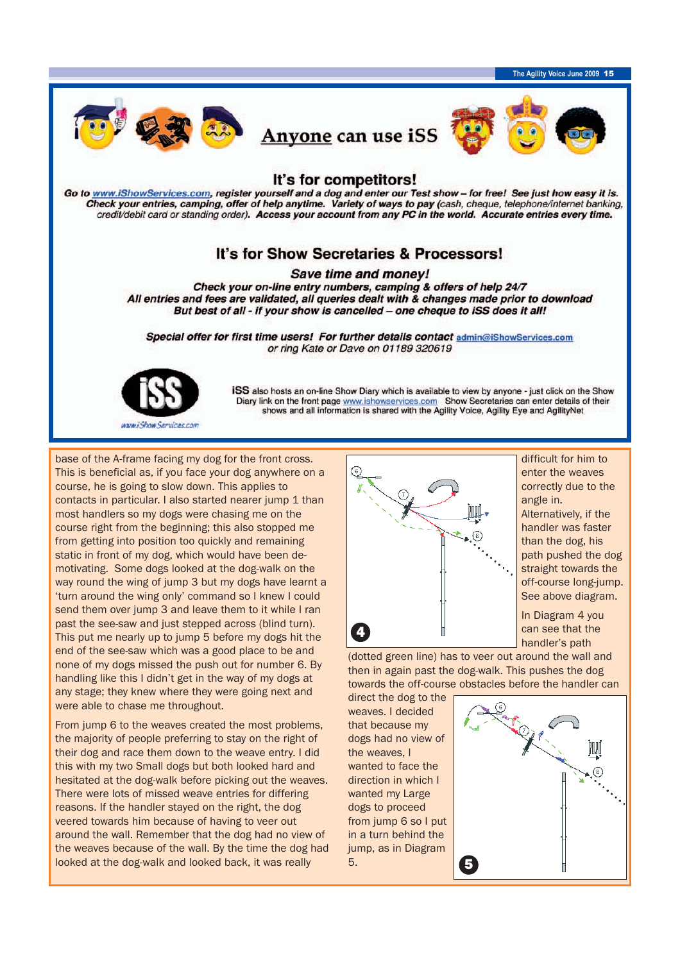

base of the A-frame facing my dog for the front cross. This is beneficial as, if you face your dog anywhere on a course, he is going to slow down. This applies to contacts in particular. I also started nearer jump 1 than most handlers so my dogs were chasing me on the course right from the beginning; this also stopped me from getting into position too quickly and remaining static in front of my dog, which would have been demotivating. Some dogs looked at the dog-walk on the way round the wing of jump 3 but my dogs have learnt a 'turn around the wing only' command so I knew I could send them over jump 3 and leave them to it while I ran past the see-saw and just stepped across (blind turn). This put me nearly up to jump 5 before my dogs hit the end of the see-saw which was a good place to be and none of my dogs missed the push out for number 6. By handling like this I didn't get in the way of my dogs at any stage; they knew where they were going next and were able to chase me throughout.

From jump 6 to the weaves created the most problems, the majority of people preferring to stay on the right of their dog and race them down to the weave entry. I did this with my two Small dogs but both looked hard and hesitated at the dog-walk before picking out the weaves. There were lots of missed weave entries for differing reasons. If the handler stayed on the right, the dog veered towards him because of having to veer out around the wall. Remember that the dog had no view of the weaves because of the wall. By the time the dog had looked at the dog-walk and looked back, it was really



difficult for him to enter the weaves correctly due to the angle in. Alternatively, if the handler was faster

than the dog, his path pushed the dog straight towards the off-course long-jump. See above diagram.

In Diagram 4 you can see that the handler's path

(dotted green line) has to veer out around the wall and then in again past the dog-walk. This pushes the dog towards the off-course obstacles before the handler can

direct the dog to the weaves. I decided that because my dogs had no view of the weaves, I wanted to face the direction in which I wanted my Large dogs to proceed from jump 6 so I put in a turn behind the jump, as in Diagram 5.

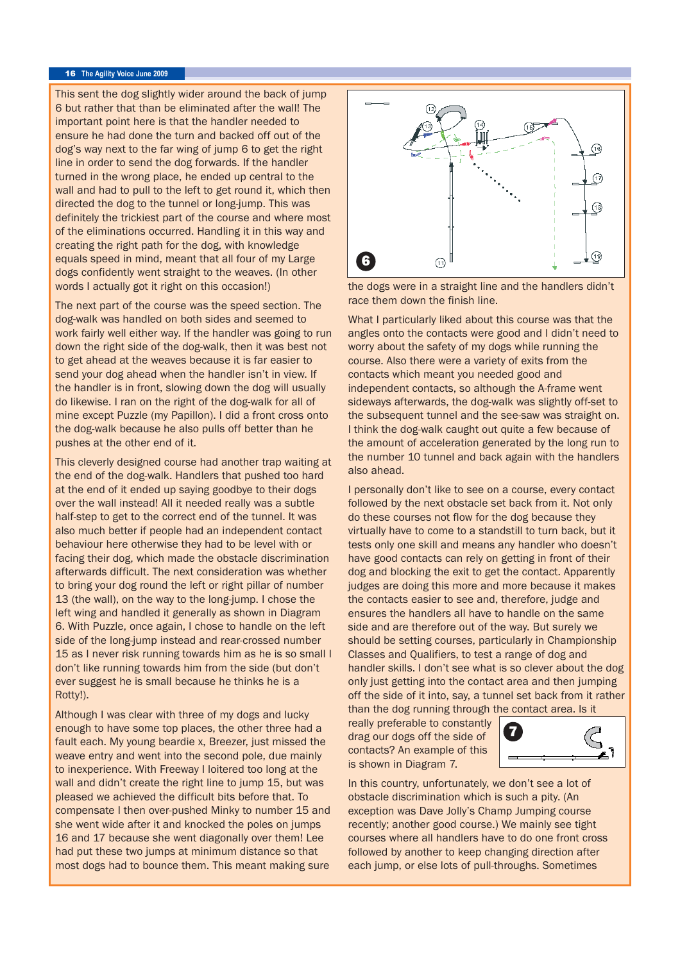## <sup>16</sup> **The Agility Voice June 2009**

This sent the dog slightly wider around the back of jump 6 but rather that than be eliminated after the wall! The important point here is that the handler needed to ensure he had done the turn and backed off out of the dog's way next to the far wing of jump 6 to get the right line in order to send the dog forwards. If the handler turned in the wrong place, he ended up central to the wall and had to pull to the left to get round it, which then directed the dog to the tunnel or long-jump. This was definitely the trickiest part of the course and where most of the eliminations occurred. Handling it in this way and creating the right path for the dog, with knowledge equals speed in mind, meant that all four of my Large dogs confidently went straight to the weaves. (In other words I actually got it right on this occasion!)

The next part of the course was the speed section. The dog-walk was handled on both sides and seemed to work fairly well either way. If the handler was going to run down the right side of the dog-walk, then it was best not to get ahead at the weaves because it is far easier to send your dog ahead when the handler isn't in view. If the handler is in front, slowing down the dog will usually do likewise. I ran on the right of the dog-walk for all of mine except Puzzle (my Papillon). I did a front cross onto the dog-walk because he also pulls off better than he pushes at the other end of it.

This cleverly designed course had another trap waiting at the end of the dog-walk. Handlers that pushed too hard at the end of it ended up saying goodbye to their dogs over the wall instead! All it needed really was a subtle half-step to get to the correct end of the tunnel. It was also much better if people had an independent contact behaviour here otherwise they had to be level with or facing their dog, which made the obstacle discrimination afterwards difficult. The next consideration was whether to bring your dog round the left or right pillar of number 13 (the wall), on the way to the long-jump. I chose the left wing and handled it generally as shown in Diagram 6. With Puzzle, once again, I chose to handle on the left side of the long-jump instead and rear-crossed number 15 as I never risk running towards him as he is so small I don't like running towards him from the side (but don't ever suggest he is small because he thinks he is a Rotty!).

Although I was clear with three of my dogs and lucky enough to have some top places, the other three had a fault each. My young beardie x, Breezer, just missed the weave entry and went into the second pole, due mainly to inexperience. With Freeway I loitered too long at the wall and didn't create the right line to jump 15, but was pleased we achieved the difficult bits before that. To compensate I then over-pushed Minky to number 15 and she went wide after it and knocked the poles on jumps 16 and 17 because she went diagonally over them! Lee had put these two jumps at minimum distance so that most dogs had to bounce them. This meant making sure



the dogs were in a straight line and the handlers didn't race them down the finish line.

What I particularly liked about this course was that the angles onto the contacts were good and I didn't need to worry about the safety of my dogs while running the course. Also there were a variety of exits from the contacts which meant you needed good and independent contacts, so although the A-frame went sideways afterwards, the dog-walk was slightly off-set to the subsequent tunnel and the see-saw was straight on. I think the dog-walk caught out quite a few because of the amount of acceleration generated by the long run to the number 10 tunnel and back again with the handlers also ahead.

I personally don't like to see on a course, every contact followed by the next obstacle set back from it. Not only do these courses not flow for the dog because they virtually have to come to a standstill to turn back, but it tests only one skill and means any handler who doesn't have good contacts can rely on getting in front of their dog and blocking the exit to get the contact. Apparently judges are doing this more and more because it makes the contacts easier to see and, therefore, judge and ensures the handlers all have to handle on the same side and are therefore out of the way. But surely we should be setting courses, particularly in Championship Classes and Qualifiers, to test a range of dog and handler skills. I don't see what is so clever about the dog only just getting into the contact area and then jumping off the side of it into, say, a tunnel set back from it rather than the dog running through the contact area. Is it

really preferable to constantly drag our dogs off the side of contacts? An example of this is shown in Diagram 7.



In this country, unfortunately, we don't see a lot of obstacle discrimination which is such a pity. (An exception was Dave Jolly's Champ Jumping course recently; another good course.) We mainly see tight courses where all handlers have to do one front cross followed by another to keep changing direction after each jump, or else lots of pull-throughs. Sometimes